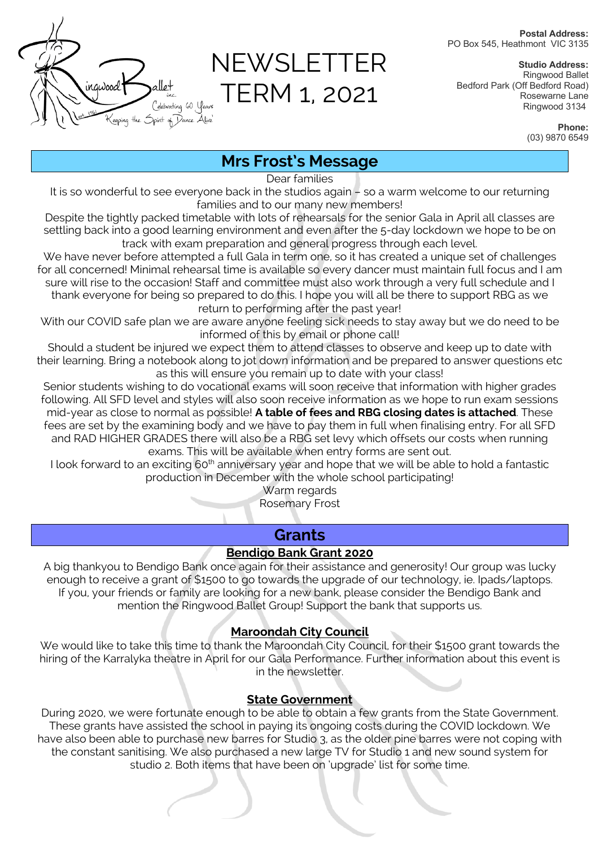**Postal Address:** PO Box 545, Heathmont VIC 3135



NEWSLETTER TERM 1, 2021

**Studio Address:** Ringwood Ballet Bedford Park (Off Bedford Road) Rosewarne Lane Ringwood 3134

> **Phone:** (03) 9870 6549

# **Mrs Frost's Message**

Dear families

It is so wonderful to see everyone back in the studios again – so a warm welcome to our returning families and to our many new members!

Despite the tightly packed timetable with lots of rehearsals for the senior Gala in April all classes are settling back into a good learning environment and even after the 5-day lockdown we hope to be on track with exam preparation and general progress through each level.

We have never before attempted a full Gala in term one, so it has created a unique set of challenges for all concerned! Minimal rehearsal time is available so every dancer must maintain full focus and I am sure will rise to the occasion! Staff and committee must also work through a very full schedule and I thank everyone for being so prepared to do this. I hope you will all be there to support RBG as we return to performing after the past year!

With our COVID safe plan we are aware anyone feeling sick needs to stay away but we do need to be informed of this by email or phone call!

Should a student be injured we expect them to attend classes to observe and keep up to date with their learning. Bring a notebook along to jot down information and be prepared to answer questions etc as this will ensure you remain up to date with your class!

Senior students wishing to do vocational exams will soon receive that information with higher grades following. All SFD level and styles will also soon receive information as we hope to run exam sessions mid-year as close to normal as possible! **A table of fees and RBG closing dates is attached**. These fees are set by the examining body and we have to pay them in full when finalising entry. For all SFD and RAD HIGHER GRADES there will also be a RBG set levy which offsets our costs when running exams. This will be available when entry forms are sent out.

I look forward to an exciting 60<sup>th</sup> anniversary year and hope that we will be able to hold a fantastic production in December with the whole school participating!

Warm regards

Rosemary Frost

# **Grants**

## **Bendigo Bank Grant 2020**

A big thankyou to Bendigo Bank once again for their assistance and generosity! Our group was lucky enough to receive a grant of \$1500 to go towards the upgrade of our technology, ie. Ipads/laptops. If you, your friends or family are looking for a new bank, please consider the Bendigo Bank and mention the Ringwood Ballet Group! Support the bank that supports us.

## **Maroondah City Council**

We would like to take this time to thank the Maroondah City Council, for their \$1500 grant towards the hiring of the Karralyka theatre in April for our Gala Performance. Further information about this event is in the newsletter.

## **State Government**

During 2020, we were fortunate enough to be able to obtain a few grants from the State Government. These grants have assisted the school in paying its ongoing costs during the COVID lockdown. We have also been able to purchase new barres for Studio 3, as the older pine barres were not coping with the constant sanitising. We also purchased a new large TV for Studio 1 and new sound system for studio 2. Both items that have been on 'upgrade' list for some time.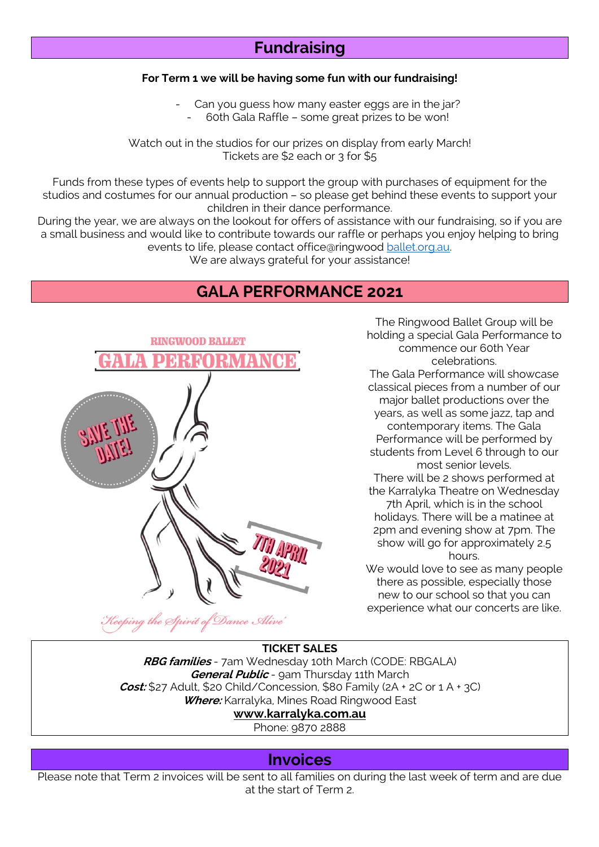# **Fundraising**

#### **For Term 1 we will be having some fun with our fundraising!**

Can you guess how many easter eggs are in the jar? - 60th Gala Raffle – some great prizes to be won!

Watch out in the studios for our prizes on display from early March! Tickets are \$2 each or 3 for \$5

Funds from these types of events help to support the group with purchases of equipment for the studios and costumes for our annual production – so please get behind these events to support your children in their dance performance.

During the year, we are always on the lookout for offers of assistance with our fundraising, so if you are a small business and would like to contribute towards our raffle or perhaps you enjoy helping to bring events to life, please contact office@ringwood ballet.org.au.

We are always grateful for your assistance!

## **GALA PERFORMANCE 2021**



Dance Alive'

The Ringwood Ballet Group will be holding a special Gala Performance to commence our 60th Year celebrations. The Gala Performance will showcase classical pieces from a number of our major ballet productions over the years, as well as some jazz, tap and contemporary items. The Gala Performance will be performed by students from Level 6 through to our most senior levels. There will be 2 shows performed at the Karralyka Theatre on Wednesday 7th April, which is in the school holidays. There will be a matinee at 2pm and evening show at 7pm. The show will go for approximately 2.5

hours.

We would love to see as many people there as possible, especially those new to our school so that you can experience what our concerts are like.

### **TICKET SALES**

**RBG families** - 7am Wednesday 10th March (CODE: RBGALA) **General Public** - 9am Thursday 11th March **Cost:** \$27 Adult, \$20 Child/Concession, \$80 Family (2A + 2C or 1 A + 3C) **Where:** Karralyka, Mines Road Ringwood East **www.karralyka.com.au**

Phone: 9870 2888

## **Invoices**

Please note that Term 2 invoices will be sent to all families on during the last week of term and are due at the start of Term 2.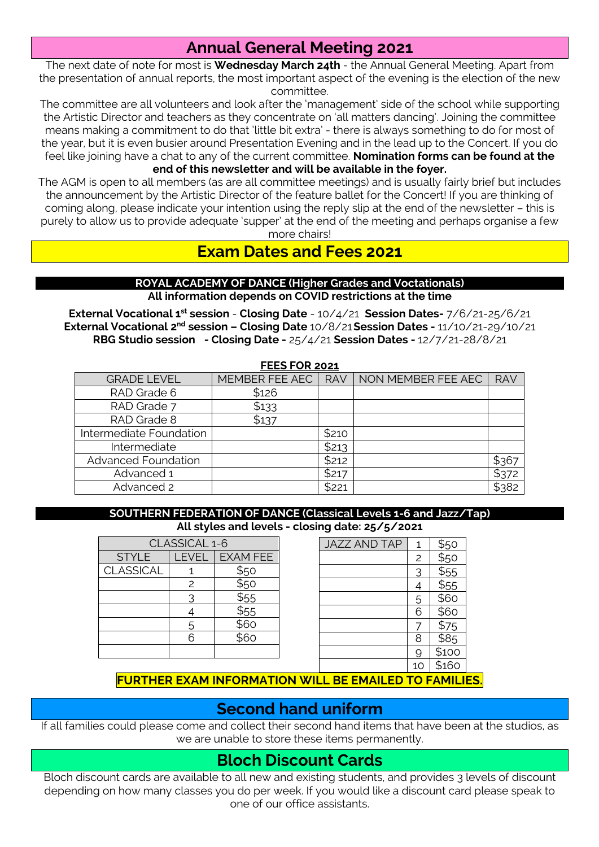# **Annual General Meeting 2021**

The next date of note for most is **Wednesday March 24th** - the Annual General Meeting. Apart from the presentation of annual reports, the most important aspect of the evening is the election of the new committee.

The committee are all volunteers and look after the 'management' side of the school while supporting the Artistic Director and teachers as they concentrate on 'all matters dancing'. Joining the committee means making a commitment to do that 'little bit extra' - there is always something to do for most of the year, but it is even busier around Presentation Evening and in the lead up to the Concert. If you do feel like joining have a chat to any of the current committee. **Nomination forms can be found at the end of this newsletter and will be available in the foyer.**

The AGM is open to all members (as are all committee meetings) and is usually fairly brief but includes the announcement by the Artistic Director of the feature ballet for the Concert! If you are thinking of coming along, please indicate your intention using the reply slip at the end of the newsletter – this is purely to allow us to provide adequate 'supper' at the end of the meeting and perhaps organise a few more chairs!

**Exam Dates and Fees 2021**

#### **ROYAL ACADEMY OF DANCE (Higher Grades and Voctationals) All information depends on COVID restrictions at the time**

**External Vocational 1st session** - **Closing Date** - 10/4/21 **Session Dates-** 7/6/21-25/6/21 **External Vocational 2nd session – Closing Date** 10/8/21**Session Dates -** 11/10/21-29/10/21 **RBG Studio session - Closing Date -** 25/4/21 **Session Dates -** 12/7/21-28/8/21

| <b>FEES FOR 2021</b>       |                |            |                    |            |  |  |  |  |
|----------------------------|----------------|------------|--------------------|------------|--|--|--|--|
| <b>GRADE LEVEL</b>         | MEMBER FEE AEC | <b>RAV</b> | NON MEMBER FEE AEC | <b>RAV</b> |  |  |  |  |
| RAD Grade 6                | \$126          |            |                    |            |  |  |  |  |
| RAD Grade 7                | \$133          |            |                    |            |  |  |  |  |
| RAD Grade 8                | \$137          |            |                    |            |  |  |  |  |
| Intermediate Foundation    |                | \$210      |                    |            |  |  |  |  |
| Intermediate               |                | \$213      |                    |            |  |  |  |  |
| <b>Advanced Foundation</b> |                | \$212      |                    | \$367      |  |  |  |  |
| Advanced 1                 |                | \$217      |                    | \$372      |  |  |  |  |
| Advanced 2                 |                | \$221      |                    | \$382      |  |  |  |  |

#### **SOUTHERN FEDERATION OF DANCE (Classical Levels 1-6 and Jazz/Tap) All styles and levels - closing date: 25/5/2021**

| CLASSICAL 1-6    |               |                  |  |  |  |
|------------------|---------------|------------------|--|--|--|
| <b>STYLE</b>     |               | LEVEL   EXAM FEE |  |  |  |
| <b>CLASSICAL</b> |               | \$50             |  |  |  |
|                  | $\mathcal{P}$ | $\overline{$50}$ |  |  |  |
|                  | 3             | \$55             |  |  |  |
|                  |               | \$55             |  |  |  |
|                  | 5             | \$60             |  |  |  |
|                  | հ             | $\overline{$6}$  |  |  |  |
|                  |               |                  |  |  |  |

| <b>JAZZ AND TAP</b> | 1              |                  |
|---------------------|----------------|------------------|
|                     | $\overline{c}$ | \$50<br>\$50     |
|                     |                | $\frac{5}{55}$   |
|                     |                | $\overline{$}55$ |
|                     | 5              | $\frac{1}{560}$  |
|                     | 6              | \$60             |
|                     |                | \$75             |
|                     | 8              | $rac{1}{585}$    |
|                     |                | \$100            |
|                     | 10             | \$160            |

**FURTHER EXAM INFORMATION WILL BE EMAILED TO FAMILIES.**

# **Second hand uniform**

If all families could please come and collect their second hand items that have been at the studios, as we are unable to store these items permanently.

# **Bloch Discount Cards**

Bloch discount cards are available to all new and existing students, and provides 3 levels of discount depending on how many classes you do per week. If you would like a discount card please speak to one of our office assistants.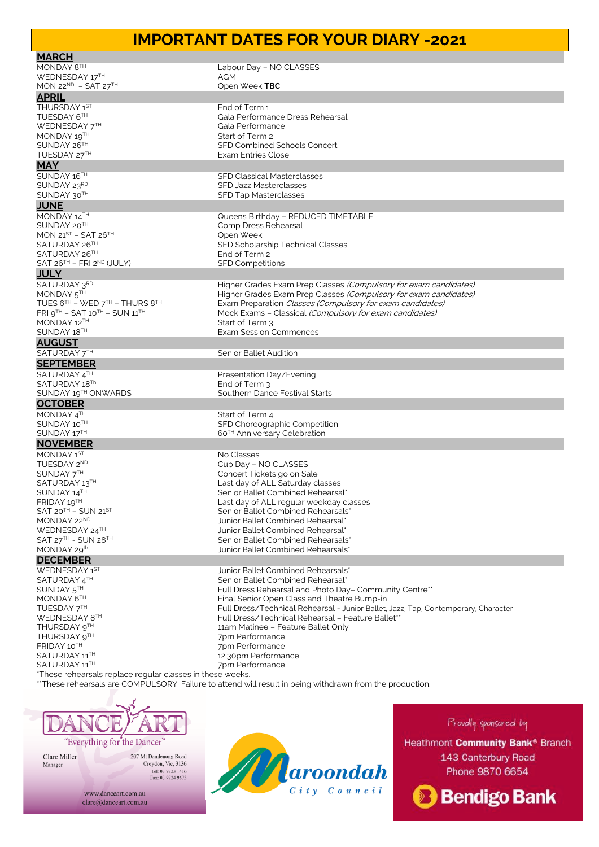## **IMPORTANT DATES FOR YOUR DIARY -2021**

| <b>MARCH</b>                                                 |                                                                                                         |
|--------------------------------------------------------------|---------------------------------------------------------------------------------------------------------|
| MONDAY 8TH                                                   | Labour Day - NO CLASSES                                                                                 |
| WEDNESDAY 17TH                                               | AGM                                                                                                     |
| MON 22 <sup>ND</sup> - SAT 27 <sup>TH</sup>                  | Open Week TBC                                                                                           |
| <b>APRIL</b>                                                 |                                                                                                         |
| THURSDAY 1ST                                                 | End of Term 1                                                                                           |
| TUESDAY 6TH                                                  | Gala Performance Dress Rehearsal                                                                        |
| WEDNESDAY 7TH                                                | Gala Performance                                                                                        |
| MONDAY 19TH                                                  | Start of Term 2                                                                                         |
| SUNDAY 26TH                                                  | SFD Combined Schools Concert                                                                            |
| TUESDAY 27TH                                                 | <b>Exam Entries Close</b>                                                                               |
| <b>MAY</b>                                                   |                                                                                                         |
| SUNDAY 16TH                                                  | <b>SFD Classical Masterclasses</b>                                                                      |
| SUNDAY 23RD                                                  | SFD Jazz Masterclasses                                                                                  |
| SUNDAY 30TH                                                  | <b>SFD Tap Masterclasses</b>                                                                            |
| <b>JUNE</b>                                                  |                                                                                                         |
|                                                              |                                                                                                         |
| MONDAY 14TH<br>SUNDAY 20TH                                   | Queens Birthday - REDUCED TIMETABLE<br>Comp Dress Rehearsal                                             |
| MON $21^{ST}$ – SAT $26^{TH}$                                | Open Week                                                                                               |
| SATURDAY 26TH                                                | SFD Scholarship Technical Classes                                                                       |
| SATURDAY 26TH                                                | End of Term 2                                                                                           |
| SAT 26 <sup>TH</sup> – FRI 2 <sup>ND</sup> (JULY)            | <b>SFD Competitions</b>                                                                                 |
| <b>JULY</b>                                                  |                                                                                                         |
| SATURDAY 3RD                                                 | Higher Grades Exam Prep Classes (Compulsory for exam candidates)                                        |
| MONDAY 5TH                                                   | Higher Grades Exam Prep Classes (Compulsory for exam candidates)                                        |
| TUES $6^{TH}$ – WED $7^{TH}$ – THURS $8^{TH}$                | Exam Preparation Classes (Compulsory for exam candidates)                                               |
| $FRI$ $Q^{TH}$ – SAT 10 <sup>TH</sup> – SUN 11 <sup>TH</sup> | Mock Exams - Classical (Compulsory for exam candidates)                                                 |
| MONDAY 12TH                                                  | Start of Term 3                                                                                         |
| SUNDAY 18TH                                                  | <b>Exam Session Commences</b>                                                                           |
| <b>AUGUST</b>                                                |                                                                                                         |
| SATURDAY 7TH                                                 | Senior Ballet Audition                                                                                  |
| <b>SEPTEMBER</b>                                             |                                                                                                         |
| SATURDAY 4TH                                                 | Presentation Day/Evening                                                                                |
| SATURDAY 18Th                                                | End of Term 3                                                                                           |
| SUNDAY 19TH ONWARDS                                          | Southern Dance Festival Starts                                                                          |
| <b>OCTOBER</b>                                               |                                                                                                         |
| MONDAY 4TH                                                   | Start of Term 4                                                                                         |
| SUNDAY 10TH                                                  | SFD Choreographic Competition                                                                           |
| SUNDAY 17TH                                                  | 60 <sup>TH</sup> Anniversary Celebration                                                                |
| <b>NOVEMBER</b>                                              |                                                                                                         |
| MONDAY 1ST                                                   | No Classes                                                                                              |
| TUESDAY 2ND                                                  | Cup Day - NO CLASSES                                                                                    |
| SUNDAY 7TH                                                   | Concert Tickets go on Sale                                                                              |
| SATURDAY 13TH                                                | Last day of ALL Saturday classes                                                                        |
| SUNDAY 14TH                                                  | Senior Ballet Combined Rehearsal*                                                                       |
| FRIDAY 19TH                                                  | Last day of ALL regular weekday classes                                                                 |
| $SAT 20TH - SUN 21ST$                                        | Senior Ballet Combined Rehearsals*                                                                      |
| MONDAY 22ND                                                  | Junior Ballet Combined Rehearsal*                                                                       |
| WEDNESDAY 24TH                                               | Junior Ballet Combined Rehearsal*                                                                       |
| SAT 27TH - SUN 28TH                                          | Senior Ballet Combined Rehearsals*                                                                      |
| MONDAY 29th                                                  | Junior Ballet Combined Rehearsals'                                                                      |
| <b>DECEMBER</b>                                              |                                                                                                         |
| WEDNESDAY 1ST                                                | Junior Ballet Combined Rehearsals*                                                                      |
| SATURDAY 4TH                                                 | Senior Ballet Combined Rehearsal*                                                                       |
| SUNDAY 5TH                                                   | Full Dress Rehearsal and Photo Day- Community Centre**                                                  |
| MONDAY 6TH                                                   | Final Senior Open Class and Theatre Bump-in                                                             |
| TUESDAY 7TH                                                  | Full Dress/Technical Rehearsal - Junior Ballet, Jazz, Tap, Contemporary, Character                      |
| WEDNESDAY 8TH                                                | Full Dress/Technical Rehearsal - Feature Ballet**                                                       |
| THURSDAY 9TH                                                 | 11am Matinee - Feature Ballet Only                                                                      |
| THURSDAY 9TH                                                 | 7pm Performance                                                                                         |
| FRIDAY 10TH                                                  | 7pm Performance                                                                                         |
| SATURDAY 11™                                                 | 12.30pm Performance                                                                                     |
| SATURDAY 11TH                                                | 7pm Performance                                                                                         |
| *These rehearsals replace regular classes in these weeks.    | **These rebearsals are COMPLILSORY Failure to attend will result in being withdrawn from the production |

)RY. Failure to attend will result in being withdrawn from the production.



Clare Miller Manager

 $\begin{array}{c} \textbf{207 Mt Dandenong Road} \\ \textbf{Croydon, Vic, 3136} \\ \textbf{Tel: 03 9723 1416} \\ \textbf{Fax: 03 9724 9673} \end{array}$ 



Provolly sponsored by

Heathmont Community Bank® Branch 143 Canterbury Road Phone 9870 6654



www.danceart.com.au clare@danceart.com.au